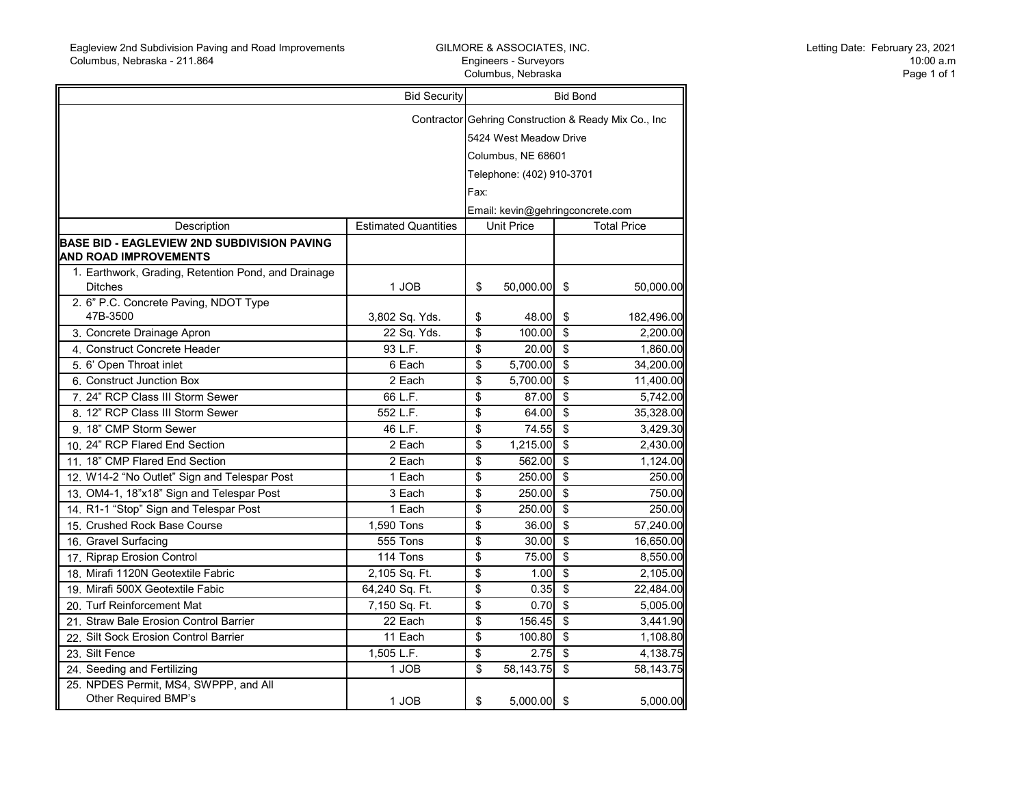r.

## GILMORE & ASSOCIATES, INC. Engineers - Surveyors Columbus, Nebraska

m.

Letting Date: February 23, 2021 10:00 a.m Page 1 of 1

|                                                                                    | <b>Bid Security</b><br><b>Bid Bond</b> |                                                       |               |                         |                    |  |
|------------------------------------------------------------------------------------|----------------------------------------|-------------------------------------------------------|---------------|-------------------------|--------------------|--|
|                                                                                    |                                        | Contractor Gehring Construction & Ready Mix Co., Inc. |               |                         |                    |  |
|                                                                                    |                                        | 5424 West Meadow Drive                                |               |                         |                    |  |
|                                                                                    |                                        | Columbus, NE 68601                                    |               |                         |                    |  |
|                                                                                    |                                        | Telephone: (402) 910-3701                             |               |                         |                    |  |
|                                                                                    |                                        |                                                       |               |                         |                    |  |
|                                                                                    |                                        | Fax:                                                  |               |                         |                    |  |
|                                                                                    |                                        | Email: kevin@gehringconcrete.com                      |               |                         |                    |  |
| Description                                                                        | <b>Estimated Quantities</b>            | <b>Unit Price</b>                                     |               |                         | <b>Total Price</b> |  |
| <b>BASE BID - EAGLEVIEW 2ND SUBDIVISION PAVING</b><br><b>AND ROAD IMPROVEMENTS</b> |                                        |                                                       |               |                         |                    |  |
| 1. Earthwork, Grading, Retention Pond, and Drainage                                |                                        |                                                       |               |                         |                    |  |
| <b>Ditches</b>                                                                     | 1 JOB                                  | \$                                                    | 50,000.00     | \$                      | 50,000.00          |  |
| 2. 6" P.C. Concrete Paving, NDOT Type<br>47B-3500                                  | 3,802 Sq. Yds.                         | \$                                                    | 48.00         | \$                      | 182,496.00         |  |
| 3. Concrete Drainage Apron                                                         | 22 Sq. Yds.                            | \$                                                    | 100.00        | $\mathfrak{s}$          | 2,200.00           |  |
| 4. Construct Concrete Header                                                       | 93 L.F.                                | \$                                                    | 20.00         | $\sqrt[6]{\frac{1}{2}}$ | 1,860.00           |  |
| 5. 6' Open Throat inlet                                                            | 6 Each                                 | \$                                                    | 5,700.00      | $\mathfrak{s}$          | 34,200.00          |  |
| 6. Construct Junction Box                                                          | 2 Each                                 | \$                                                    | 5,700.00      | $\sqrt{2}$              | 11,400.00          |  |
| 7. 24" RCP Class III Storm Sewer                                                   | 66 L.F.                                | \$                                                    | 87.00         | $\overline{\$}$         | 5,742.00           |  |
| 8. 12" RCP Class III Storm Sewer                                                   | 552 L.F.                               | \$                                                    | 64.00         | $\overline{\$}$         | 35,328.00          |  |
| 9. 18" CMP Storm Sewer                                                             | 46 L.F.                                | \$                                                    | 74.55         | $\overline{\mathbf{s}}$ | 3,429.30           |  |
| 10. 24" RCP Flared End Section                                                     | 2 Each                                 | $\overline{\mathbf{S}}$                               | 1,215.00      | $\overline{\$}$         | 2,430.00           |  |
| 11. 18" CMP Flared End Section                                                     | $\overline{2}$ Each                    | \$                                                    | 562.00        | $\overline{\$}$         | 1,124.00           |  |
| 12. W14-2 "No Outlet" Sign and Telespar Post                                       | $\overline{1}$ Each                    | \$                                                    | 250.00        | $\overline{\$}$         | 250.00             |  |
| 13. OM4-1, 18"x18" Sign and Telespar Post                                          | 3 Each                                 | \$                                                    | 250.00        | \$                      | 750.00             |  |
| 14. R1-1 "Stop" Sign and Telespar Post                                             | 1 Each                                 | \$                                                    | 250.00        | \$                      | 250.00             |  |
| 15. Crushed Rock Base Course                                                       | 1,590 Tons                             | \$                                                    | 36.00         | $\overline{\mathbf{s}}$ | 57,240.00          |  |
| 16. Gravel Surfacing                                                               | 555 Tons                               | \$                                                    | 30.00         | $\overline{\mathbf{s}}$ | 16,650.00          |  |
| 17. Riprap Erosion Control                                                         | 114 Tons                               | \$                                                    | 75.00         | $\overline{\mathbf{s}}$ | 8,550.00           |  |
| 18. Mirafi 1120N Geotextile Fabric                                                 | 2,105 Sq. Ft.                          | \$                                                    | 1.00          | \$                      | 2,105.00           |  |
| 19. Mirafi 500X Geotextile Fabic                                                   | 64,240 Sq. Ft.                         | \$                                                    | 0.35          | \$                      | 22,484.00          |  |
| 20. Turf Reinforcement Mat                                                         | 7,150 Sq. Ft.                          | \$                                                    | 0.70          | \$                      | 5,005.00           |  |
| 21. Straw Bale Erosion Control Barrier                                             | 22 Each                                | \$                                                    | 156.45        | \$                      | 3,441.90           |  |
| 22. Silt Sock Erosion Control Barrier                                              | 11 Each                                | \$                                                    | 100.80        | \$                      | 1,108.80           |  |
| 23. Silt Fence                                                                     | 1,505 L.F.                             | \$                                                    | 2.75          | \$                      | 4,138.75           |  |
| 24. Seeding and Fertilizing                                                        | 1 JOB                                  | \$                                                    | 58,143.75     | $\overline{\mathbf{s}}$ | 58.143.75          |  |
| 25. NPDES Permit, MS4, SWPPP, and All<br>Other Required BMP's                      | 1 JOB                                  | \$                                                    | $5,000.00$ \$ |                         | 5,000.00           |  |